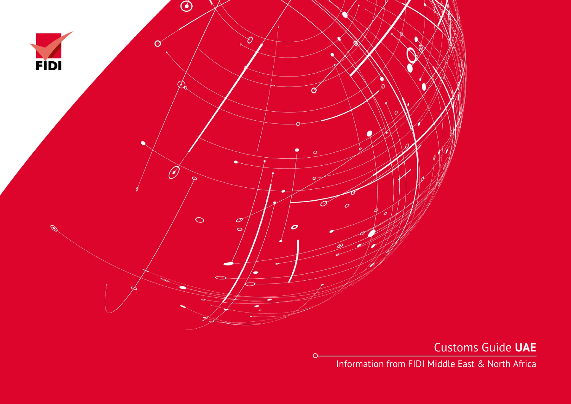

 $\circ$ 

Customs Guide **UAE**

Information from FIDI Middle East & North Africa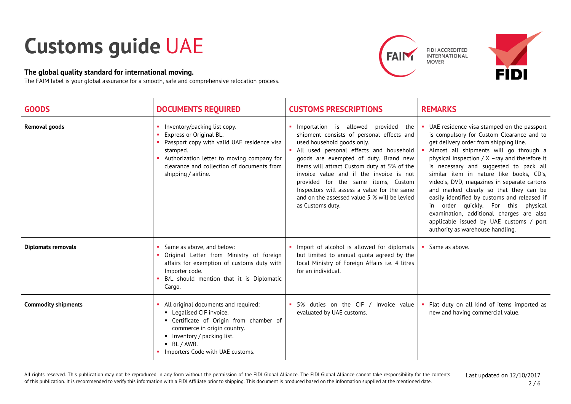## **Customs guide** UAE

## **The global quality standard for international moving.**

The FAIM label is your global assurance for a smooth, safe and comprehensive relocation process.





| <b>GOODS</b>               | <b>DOCUMENTS REQUIRED</b>                                                                                                                                                                                                             | <b>CUSTOMS PRESCRIPTIONS</b>                                                                                                                                                                                                                                                                                                                                                                                                                              | <b>REMARKS</b>                                                                                                                                                                                                                                                                                                                                                                                                                                                                                                                                                                                                                  |
|----------------------------|---------------------------------------------------------------------------------------------------------------------------------------------------------------------------------------------------------------------------------------|-----------------------------------------------------------------------------------------------------------------------------------------------------------------------------------------------------------------------------------------------------------------------------------------------------------------------------------------------------------------------------------------------------------------------------------------------------------|---------------------------------------------------------------------------------------------------------------------------------------------------------------------------------------------------------------------------------------------------------------------------------------------------------------------------------------------------------------------------------------------------------------------------------------------------------------------------------------------------------------------------------------------------------------------------------------------------------------------------------|
| <b>Removal goods</b>       | Inventory/packing list copy.<br>Express or Original BL.<br>Passport copy with valid UAE residence visa<br>stamped.<br>Authorization letter to moving company for<br>clearance and collection of documents from<br>shipping / airline. | Importation is allowed<br>provided the<br>shipment consists of personal effects and<br>used household goods only.<br>All used personal effects and household<br>goods are exempted of duty. Brand new<br>items will attract Custom duty at 5% of the<br>invoice value and if the invoice is not<br>provided for the same items, Custom<br>Inspectors will assess a value for the same<br>and on the assessed value 5 % will be levied<br>as Customs duty. | UAE residence visa stamped on the passport<br>is compulsory for Custom Clearance and to<br>get delivery order from shipping line.<br>Almost all shipments will go through a<br>physical inspection $/ X$ -ray and therefore it<br>is necessary and suggested to pack all<br>similar item in nature like books, CD's,<br>video's, DVD, magazines in separate cartons<br>and marked clearly so that they can be<br>easily identified by customs and released if<br>in order quickly. For this physical<br>examination, additional charges are also<br>applicable issued by UAE customs / port<br>authority as warehouse handling. |
| <b>Diplomats removals</b>  | Same as above, and below:<br>Original Letter from Ministry of foreign<br>affairs for exemption of customs duty with<br>Importer code.<br>B/L should mention that it is Diplomatic<br>Cargo.                                           | Import of alcohol is allowed for diplomats<br>but limited to annual quota agreed by the<br>local Ministry of Foreign Affairs i.e. 4 litres<br>for an individual.                                                                                                                                                                                                                                                                                          | Same as above.                                                                                                                                                                                                                                                                                                                                                                                                                                                                                                                                                                                                                  |
| <b>Commodity shipments</b> | All original documents and required:<br>• Legalised CIF invoice.<br>• Certificate of Origin from chamber of<br>commerce in origin country.<br>• Inventory / packing list.<br>$-BL/AWB.$<br>Importers Code with UAE customs.           | 5% duties on the CIF / Invoice value<br>evaluated by UAE customs.                                                                                                                                                                                                                                                                                                                                                                                         | Flat duty on all kind of items imported as<br>new and having commercial value.                                                                                                                                                                                                                                                                                                                                                                                                                                                                                                                                                  |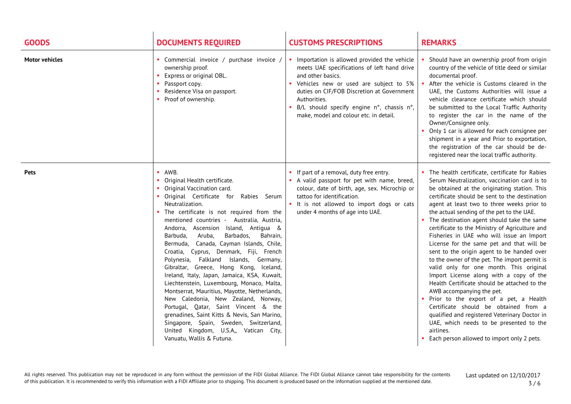| <b>GOODS</b>          | <b>DOCUMENTS REQUIRED</b>                                                                                                                                                                                                                                                                                                                                                                                                                                                                                                                                                                                                                                                                                                                                                                                                                                                                | <b>CUSTOMS PRESCRIPTIONS</b>                                                                                                                                                                                                                                                                                     | <b>REMARKS</b>                                                                                                                                                                                                                                                                                                                                                                                                                                                                                                                                                                                                                                                                                                                                                                                                                                                                                                                                                                                           |
|-----------------------|------------------------------------------------------------------------------------------------------------------------------------------------------------------------------------------------------------------------------------------------------------------------------------------------------------------------------------------------------------------------------------------------------------------------------------------------------------------------------------------------------------------------------------------------------------------------------------------------------------------------------------------------------------------------------------------------------------------------------------------------------------------------------------------------------------------------------------------------------------------------------------------|------------------------------------------------------------------------------------------------------------------------------------------------------------------------------------------------------------------------------------------------------------------------------------------------------------------|----------------------------------------------------------------------------------------------------------------------------------------------------------------------------------------------------------------------------------------------------------------------------------------------------------------------------------------------------------------------------------------------------------------------------------------------------------------------------------------------------------------------------------------------------------------------------------------------------------------------------------------------------------------------------------------------------------------------------------------------------------------------------------------------------------------------------------------------------------------------------------------------------------------------------------------------------------------------------------------------------------|
| <b>Motor vehicles</b> | Commercial invoice / purchase invoice /<br>ownership proof.<br>Express or original OBL.<br>Passport copy.<br>Residence Visa on passport.<br>• Proof of ownership.                                                                                                                                                                                                                                                                                                                                                                                                                                                                                                                                                                                                                                                                                                                        | Importation is allowed provided the vehicle<br>meets UAE specifications of left hand drive<br>and other basics.<br>Vehicles new or used are subject to 5%<br>duties on CIF/FOB Discretion at Government<br>Authorities.<br>• B/L should specify engine n°, chassis n°,<br>make, model and colour etc. in detail. | Should have an ownership proof from origin<br>country of the vehicle of title deed or similar<br>documental proof.<br>After the vehicle is Customs cleared in the<br>UAE, the Customs Authorities will issue a<br>vehicle clearance certificate which should<br>be submitted to the Local Traffic Authority<br>to register the car in the name of the<br>Owner/Consignee only.<br>Only 1 car is allowed for each consignee per<br>shipment in a year and Prior to exportation,<br>the registration of the car should be de-<br>registered near the local traffic authority.                                                                                                                                                                                                                                                                                                                                                                                                                              |
| <b>Pets</b>           | AWB.<br>• Original Health certificate.<br>• Original Vaccination card.<br>· Original Certificate for Rabies Serum<br>Neutralization.<br>The certificate is not required from the<br>mentioned countries - Australia, Austria,<br>Andorra, Ascension Island, Antigua &<br>Aruba,<br>Barbados,<br>Bahrain,<br>Barbuda,<br>Bermuda, Canada, Cayman Islands, Chile,<br>Croatia, Cyprus, Denmark, Fiji, French<br>Polynesia, Falkland Islands, Germany,<br>Gibraltar, Greece, Hong Kong, Iceland,<br>Ireland, Italy, Japan, Jamaica, KSA, Kuwait,<br>Liechtenstein, Luxembourg, Monaco, Malta,<br>Montserrat, Mauritius, Mayotte, Netherlands,<br>New Caledonia, New Zealand, Norway,<br>Portugal, Qatar, Saint Vincent & the<br>grenadines, Saint Kitts & Nevis, San Marino,<br>Singapore, Spain, Sweden, Switzerland,<br>United Kingdom, U.S.A,, Vatican City,<br>Vanuatu, Wallis & Futuna. | • If part of a removal, duty free entry.<br>A valid passport for pet with name, breed,<br>colour, date of birth, age, sex. Microchip or<br>tattoo for identification.<br>• It is not allowed to import dogs or cats<br>under 4 months of age into UAE.                                                           | • The health certificate, certificate for Rabies<br>Serum Neutralization, vaccination card is to<br>be obtained at the originating station. This<br>certificate should be sent to the destination<br>agent at least two to three weeks prior to<br>the actual sending of the pet to the UAE.<br>• The destination agent should take the same<br>certificate to the Ministry of Agriculture and<br>Fisheries in UAE who will issue an Import<br>License for the same pet and that will be<br>sent to the origin agent to be handed over<br>to the owner of the pet. The import permit is<br>valid only for one month. This original<br>Import License along with a copy of the<br>Health Certificate should be attached to the<br>AWB accompanying the pet.<br>. Prior to the export of a pet, a Health<br>Certificate should be obtained from a<br>qualified and registered Veterinary Doctor in<br>UAE, which needs to be presented to the<br>airlines.<br>• Each person allowed to import only 2 pets. |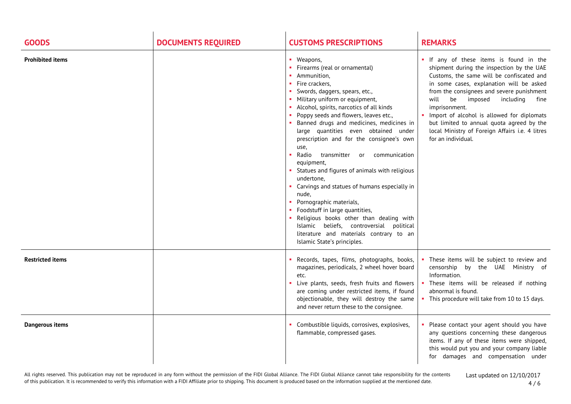| <b>GOODS</b>            | <b>DOCUMENTS REQUIRED</b> | <b>CUSTOMS PRESCRIPTIONS</b>                                                                                                                                                                                                                                                                                                                                                                                                                                                                                                                                                                                                                                                                                                                                                                                          | <b>REMARKS</b>                                                                                                                                                                                                                                                                                                                                                                                                                                             |
|-------------------------|---------------------------|-----------------------------------------------------------------------------------------------------------------------------------------------------------------------------------------------------------------------------------------------------------------------------------------------------------------------------------------------------------------------------------------------------------------------------------------------------------------------------------------------------------------------------------------------------------------------------------------------------------------------------------------------------------------------------------------------------------------------------------------------------------------------------------------------------------------------|------------------------------------------------------------------------------------------------------------------------------------------------------------------------------------------------------------------------------------------------------------------------------------------------------------------------------------------------------------------------------------------------------------------------------------------------------------|
| <b>Prohibited items</b> |                           | • Weapons,<br>• Firearms (real or ornamental)<br>• Ammunition,<br>• Fire crackers,<br>Swords, daggers, spears, etc.,<br>• Military uniform or equipment,<br>• Alcohol, spirits, narcotics of all kinds<br>• Poppy seeds and flowers, leaves etc.,<br>• Banned drugs and medicines, medicines in<br>large quantities even obtained under<br>prescription and for the consignee's own<br>use,<br>Radio<br>transmitter or<br>communication<br>equipment,<br>• Statues and figures of animals with religious<br>undertone,<br>• Carvings and statues of humans especially in<br>nude,<br>• Pornographic materials,<br>• Foodstuff in large quantities,<br>. Religious books other than dealing with<br>Islamic beliefs, controversial political<br>literature and materials contrary to an<br>Islamic State's principles. | . If any of these items is found in the<br>shipment during the inspection by the UAE<br>Customs, the same will be confiscated and<br>in some cases, explanation will be asked<br>from the consignees and severe punishment<br>be imposed<br>will<br>including<br>fine<br>imprisonment.<br>Import of alcohol is allowed for diplomats<br>but limited to annual quota agreed by the<br>local Ministry of Foreign Affairs i.e. 4 litres<br>for an individual. |
| <b>Restricted items</b> |                           | Records, tapes, films, photographs, books,<br>magazines, periodicals, 2 wheel hover board<br>etc.<br>Live plants, seeds, fresh fruits and flowers<br>are coming under restricted items, if found<br>objectionable, they will destroy the same<br>and never return these to the consignee.                                                                                                                                                                                                                                                                                                                                                                                                                                                                                                                             | These items will be subject to review and<br>censorship<br>by the UAE Ministry of<br>Information.<br>These items will be released if nothing<br>abnormal is found.<br>• This procedure will take from 10 to 15 days.                                                                                                                                                                                                                                       |
| <b>Dangerous items</b>  |                           | Combustible liquids, corrosives, explosives,<br>flammable, compressed gases.                                                                                                                                                                                                                                                                                                                                                                                                                                                                                                                                                                                                                                                                                                                                          | Please contact your agent should you have<br>any questions concerning these dangerous<br>items. If any of these items were shipped,<br>this would put you and your company liable<br>for damages and compensation under                                                                                                                                                                                                                                    |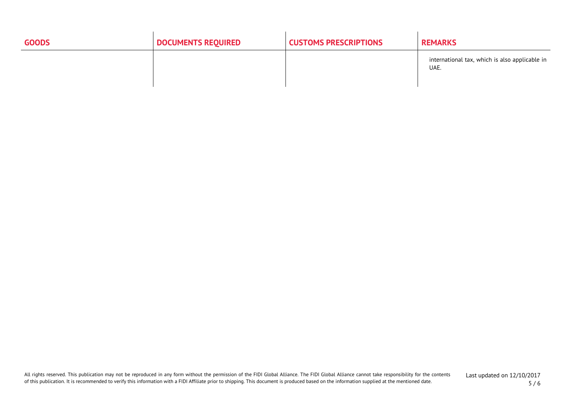| <b>GOODS</b> | <b>DOCUMENTS REQUIRED</b> | <b>CUSTOMS PRESCRIPTIONS</b> | <b>REMARKS</b>                                         |
|--------------|---------------------------|------------------------------|--------------------------------------------------------|
|              |                           |                              | international tax, which is also applicable in<br>UAE. |